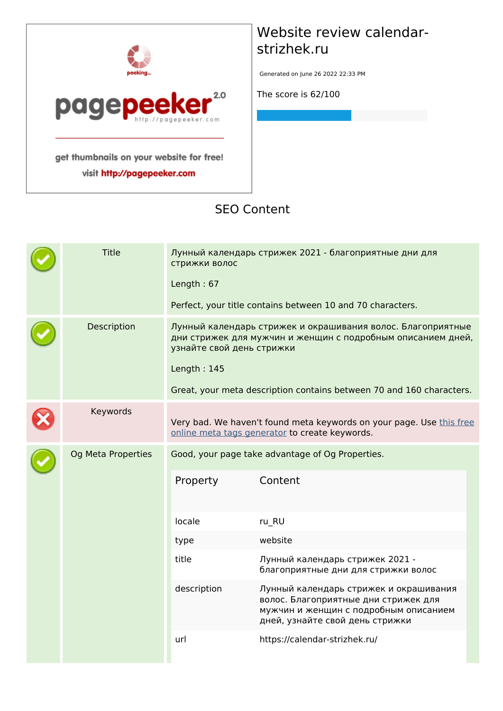

visit http://pagepeeker.com

## **Website review calendarstrizhek.ru**

Generated on June 26 2022 22:33 PM

**The score is 62/100**

#### **SEO Content**

| <b>Title</b>              | Лунный календарь стрижек 2021 - благоприятные дни для<br>стрижки волос<br>Length: $67$<br>Perfect, your title contains between 10 and 70 characters. |                                                                                                                                                                                                                                                                                                                                                          |  |
|---------------------------|------------------------------------------------------------------------------------------------------------------------------------------------------|----------------------------------------------------------------------------------------------------------------------------------------------------------------------------------------------------------------------------------------------------------------------------------------------------------------------------------------------------------|--|
| Description               | узнайте свой день стрижки<br>Length: 145                                                                                                             | Лунный календарь стрижек и окрашивания волос. Благоприятные<br>дни стрижек для мужчин и женщин с подробным описанием дней,<br>Great, your meta description contains between 70 and 160 characters.                                                                                                                                                       |  |
| Keywords                  |                                                                                                                                                      | Very bad. We haven't found meta keywords on your page. Use this free<br>online meta tags generator to create keywords.                                                                                                                                                                                                                                   |  |
| <b>Og Meta Properties</b> | Property<br>locale<br>type<br>title<br>description<br>url                                                                                            | Good, your page take advantage of Og Properties.<br>Content<br>ru_RU<br>website<br>Лунный календарь стрижек 2021 -<br>благоприятные дни для стрижки волос<br>Лунный календарь стрижек и окрашивания<br>волос. Благоприятные дни стрижек для<br>мужчин и женщин с подробным описанием<br>дней, узнайте свой день стрижки<br>https://calendar-strizhek.ru/ |  |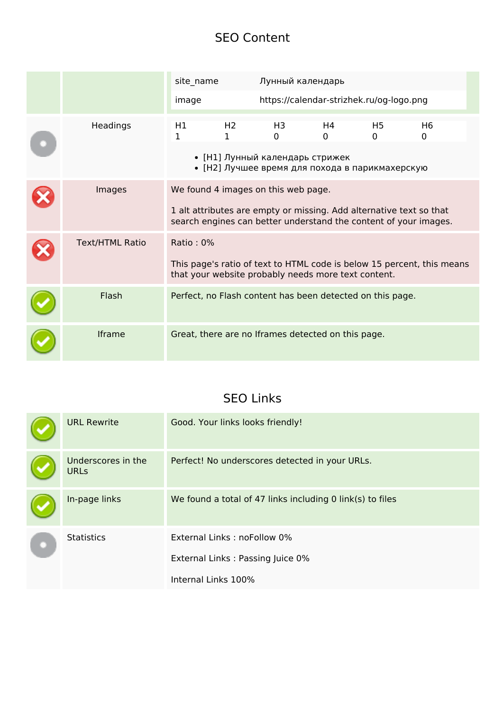#### **SEO Content**

|                        | site_name |                                | Лунный календарь                                                                                           |                |                                          |                                                                        |  |
|------------------------|-----------|--------------------------------|------------------------------------------------------------------------------------------------------------|----------------|------------------------------------------|------------------------------------------------------------------------|--|
|                        | image     |                                |                                                                                                            |                | https://calendar-strizhek.ru/og-logo.png |                                                                        |  |
| Headings               | H1<br>1   | H <sub>2</sub><br>$\mathbf{1}$ | H3<br>$\Omega$<br>• [Н1] Лунный календарь стрижек<br>• [Н2] Лучшее время для похода в парикмахерскую       | H4<br>$\Omega$ | H <sub>5</sub><br>$\Omega$               | H <sub>6</sub><br>0                                                    |  |
| Images                 |           |                                | We found 4 images on this web page.<br>1 alt attributes are empty or missing. Add alternative text so that |                |                                          | search engines can better understand the content of your images.       |  |
| <b>Text/HTML Ratio</b> | Ratio: 0% |                                | that your website probably needs more text content.                                                        |                |                                          | This page's ratio of text to HTML code is below 15 percent, this means |  |
| Flash                  |           |                                | Perfect, no Flash content has been detected on this page.                                                  |                |                                          |                                                                        |  |
| <b>Iframe</b>          |           |                                | Great, there are no Iframes detected on this page.                                                         |                |                                          |                                                                        |  |

### **SEO Links**

|  | <b>URL Rewrite</b>                | Good. Your links looks friendly!                          |
|--|-----------------------------------|-----------------------------------------------------------|
|  | Underscores in the<br><b>URLs</b> | Perfect! No underscores detected in your URLs.            |
|  | In-page links                     | We found a total of 47 links including 0 link(s) to files |
|  | <b>Statistics</b>                 | External Links: noFollow 0%                               |
|  |                                   | External Links: Passing Juice 0%                          |
|  |                                   | Internal Links 100%                                       |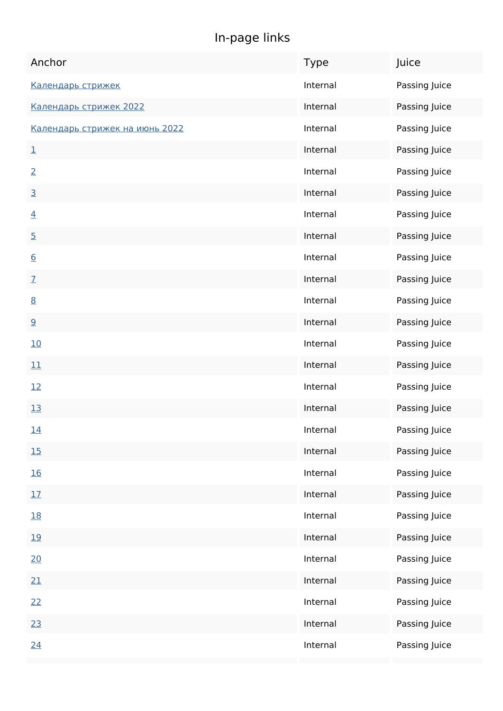## **In-page links**

| Anchor                         | Type     | Juice         |
|--------------------------------|----------|---------------|
| Календарь стрижек              | Internal | Passing Juice |
| Календарь стрижек 2022         | Internal | Passing Juice |
| Календарь стрижек на июнь 2022 | Internal | Passing Juice |
| $\overline{\mathbf{1}}$        | Internal | Passing Juice |
| $\overline{2}$                 | Internal | Passing Juice |
| $\overline{3}$                 | Internal | Passing Juice |
| $\overline{4}$                 | Internal | Passing Juice |
| $\overline{5}$                 | Internal | Passing Juice |
| 6                              | Internal | Passing Juice |
| $\overline{1}$                 | Internal | Passing Juice |
| 8                              | Internal | Passing Juice |
| 9                              | Internal | Passing Juice |
| 10                             | Internal | Passing Juice |
| 11                             | Internal | Passing Juice |
| 12                             | Internal | Passing Juice |
| 13                             | Internal | Passing Juice |
| <u>14</u>                      | Internal | Passing Juice |
| <u>15</u>                      | Internal | Passing Juice |
| <u>16</u>                      | Internal | Passing Juice |
| 17                             | Internal | Passing Juice |
| 18                             | Internal | Passing Juice |
| <u>19</u>                      | Internal | Passing Juice |
| 20                             | Internal | Passing Juice |
| 21                             | Internal | Passing Juice |
| 22                             | Internal | Passing Juice |
| 23                             | Internal | Passing Juice |
| 24                             | Internal | Passing Juice |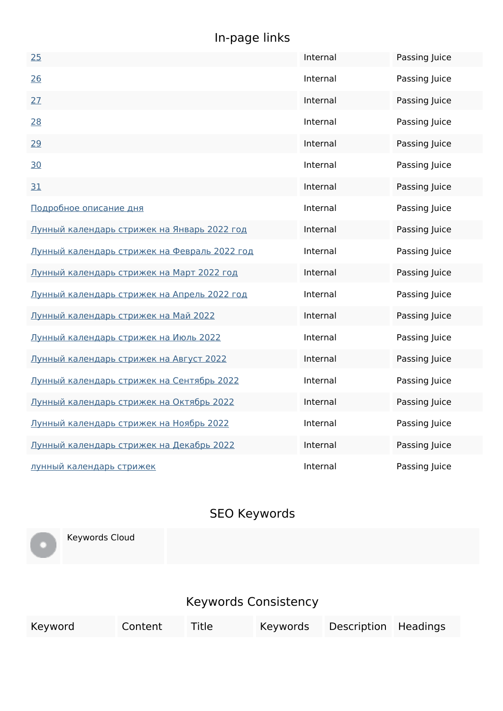# **In-page links**

| 25                                           | Internal | Passing Juice |
|----------------------------------------------|----------|---------------|
| 26                                           | Internal | Passing Juice |
| 27                                           | Internal | Passing Juice |
| 28                                           | Internal | Passing Juice |
| 29                                           | Internal | Passing Juice |
| 30                                           | Internal | Passing Juice |
| 31                                           | Internal | Passing Juice |
| Подробное описание дня                       | Internal | Passing Juice |
| Лунный календарь стрижек на Январь 2022 год  | Internal | Passing Juice |
| Лунный календарь стрижек на Февраль 2022 год | Internal | Passing Juice |
| Лунный календарь стрижек на Март 2022 год    | Internal | Passing Juice |
| Лунный календарь стрижек на Апрель 2022 год  | Internal | Passing Juice |
| Лунный календарь стрижек на Май 2022         | Internal | Passing Juice |
| Лунный календарь стрижек на Июль 2022        | Internal | Passing Juice |
| Лунный календарь стрижек на Август 2022      | Internal | Passing Juice |
| Лунный календарь стрижек на Сентябрь 2022    | Internal | Passing Juice |
| Лунный календарь стрижек на Октябрь 2022     | Internal | Passing Juice |
| Лунный календарь стрижек на Ноябрь 2022      | Internal | Passing Juice |
| Лунный календарь стрижек на Декабрь 2022     | Internal | Passing Juice |
| лунный календарь стрижек                     | Internal | Passing Juice |

## **SEO Keywords**

Keywords Cloud

## **Keywords Consistency**

| Keyword | Content | <b>Title</b> |  | Keywords Description Headings |  |  |
|---------|---------|--------------|--|-------------------------------|--|--|
|---------|---------|--------------|--|-------------------------------|--|--|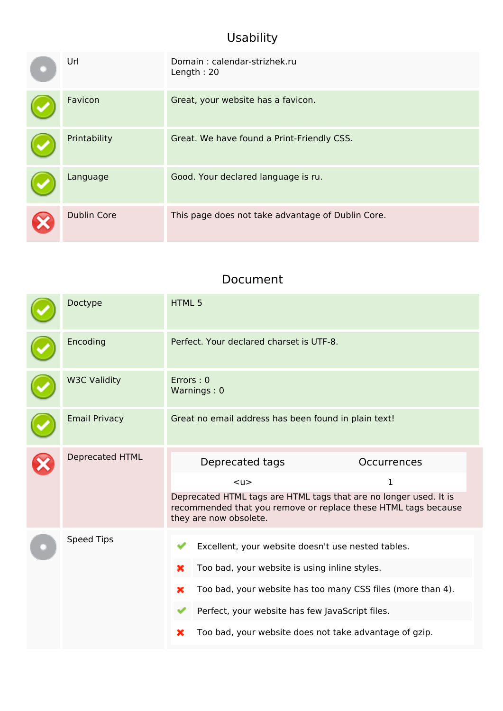## **Usability**

| Url                | Domain: calendar-strizhek.ru<br>Length: 20        |
|--------------------|---------------------------------------------------|
| Favicon            | Great, your website has a favicon.                |
| Printability       | Great. We have found a Print-Friendly CSS.        |
| Language           | Good. Your declared language is ru.               |
| <b>Dublin Core</b> | This page does not take advantage of Dublin Core. |

#### **Document**

| Doctype                | HTML <sub>5</sub>                                                                                                                                                                                                                                                                              |
|------------------------|------------------------------------------------------------------------------------------------------------------------------------------------------------------------------------------------------------------------------------------------------------------------------------------------|
| Encoding               | Perfect. Your declared charset is UTF-8.                                                                                                                                                                                                                                                       |
| <b>W3C Validity</b>    | Errors: 0<br>Warnings: 0                                                                                                                                                                                                                                                                       |
| <b>Email Privacy</b>   | Great no email address has been found in plain text!                                                                                                                                                                                                                                           |
| <b>Deprecated HTML</b> | Deprecated tags<br>Occurrences<br>1<br>$U$<br>Deprecated HTML tags are HTML tags that are no longer used. It is<br>recommended that you remove or replace these HTML tags because<br>they are now obsolete.                                                                                    |
| <b>Speed Tips</b>      | Excellent, your website doesn't use nested tables.<br>Too bad, your website is using inline styles.<br>×<br>Too bad, your website has too many CSS files (more than 4).<br>×<br>Perfect, your website has few JavaScript files.<br>Too bad, your website does not take advantage of gzip.<br>× |